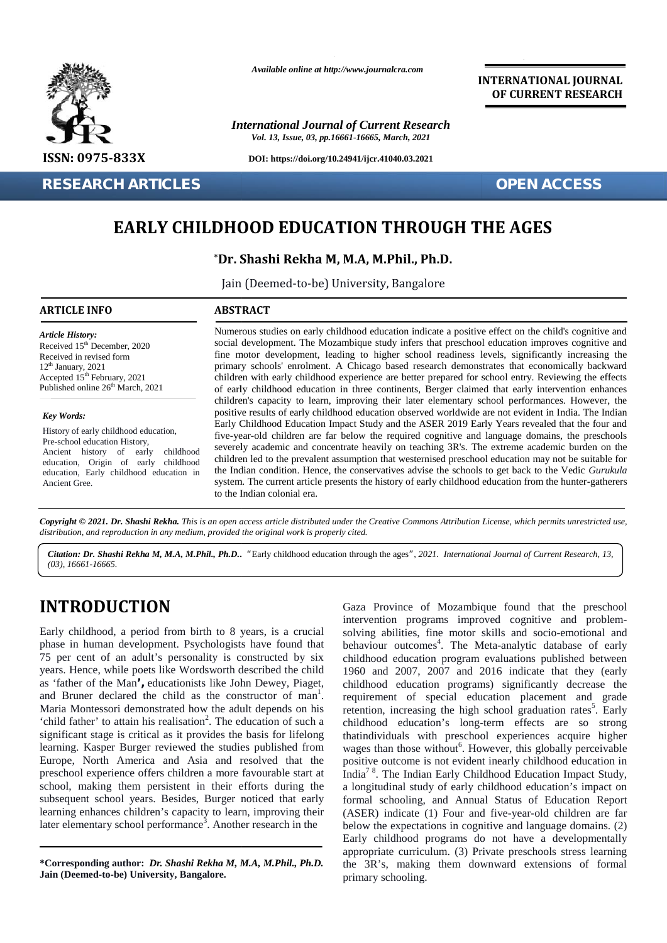

**RESEARCH ARTICLES OPEN ACCESS**

*Available online at http://www.journalcra.com*

*International Journal of Current Research Vol. 13, Issue, 03, pp.16661-16665, March, 2021*

**DOI: https://doi.org/10.24941/ijcr.41040.03.2021**

**OF CURRENT RESEARCH**

**INTERNATIONAL JOURNAL**

## **EARLY CHILDHOOD EDUCATION THROUGH THE AGES EARLY CHILDHOOD EDUCATION**

### **\*Dr. Shashi Rekha M, M.A, M.Phil., Ph.D. Rekha M,**

Jain (Deemed-to-be) University, Bangalore

### **ARTICLE INFO ABSTRACT ARTICLE ABSTRACT**

*Article History: Article History:* Received  $15<sup>th</sup>$  December, 2020 Received 15 December, 2020<br>Received in revised form  $12<sup>th</sup>$  January, 2021 Accepted  $15<sup>th</sup>$  February, 2021 cl Published online  $26<sup>th</sup>$  March, 2021 **RESEARCH**<br> **RESEARCH**<br> **RESEARCH**<br> **RESEARCH**<br> **RESEARCH**<br> **RESEARCH**<br> **RESEARCH**<br> **RESEARCH**<br> **RESEARCH**<br> **RESEARCH**<br> **RESEARCH**<br> **RESEARCH**<br> **RESEARCH**<br> **RESEARCH**<br> **RESEARCH**<br> **RESEARCH**<br> **RESEARCH**<br> **RESEARCH**<br> **RESEA** 

*Key Words:*

History of early childhood education, Pre-school education History,<br>Ancient history of early childhood Ancient history of early education, Origin of early childhood education, Early childhood education in Ancient Gree. For the control of the control of the control of the control of the control of the control of the control of the control of the control of the control of the control of the control of the control of the control of the con

Numerous studies on early childhood education indicate a positive effect on the child's cognitive and social development. The Mozambique study infers that preschool education improves cognitive and fine motor development, leading to higher school readiness levels, significantly increasing the primary schools' enrolment. A Chicago based research demonstrates that economically backward children with early childhood experience are better prepared for school entry. Reviewing the effects of early childhood education in three continents, Berger claimed that early intervention enhances children's capacity to learn, improving their later elementary school performances. However, the positive results of early childhood education observed worldwide are not evident in India. The Indian in Early Childhood Education Impact Study and the ASER 2019 Early Years revealed that the four and five-year-old children are far below the required cognitive and language domains, the preschools severely academic and concentrate heavily on teaching 3R's. The extreme academic burden on the children led to the prevalent assumption that westernised preschool education may not be suitable for the Indian condition. Hence, the conservatives advise the schools to get back to the Vedic *Gurukula* system. The current article presents the history of early childhood education from the hunter-gatherers<br>to the Indian colonial era. to the Indian colonial era. Numerous studies on early childhood education indicate a positive effect on the child's cognitive and<br>social development. The Mozambique study infers that preschool education improves cognitive and<br>fine motor development,

Copyright © 2021. Dr. Shashi Rekha. This is an open access article distributed under the Creative Commons Attribution License, which permits unrestricted use, *distribution, and reproduction in any medium, provided the original work is properly cited. distribution,any*

Citation: Dr. Shashi Rekha M, M.A, M.Phil., Ph.D.. "Early childhood education through the ages", 2021. International Journal of Current Research, 13, *(03), 16661-16665.*

## **INTRODUCTION INTRODUCTION**

Early childhood, a period from birth to  $8$  years, is a crucial s phase in human development. Psychologists have found that l 75 per cent of an adult's personality is constructed by six child years. Hence, while poets like Wordsworth described the child 1960 as 'father of the Man', educationists like John Dewey, Piaget, and Bruner declared the child as the constructor of man<sup>1</sup>.  $r_1$ Maria Montessori demonstrated how the adult depends on his ret 'child father' to attain his realisation<sup>2</sup>. The education of such a<br>
significant stage is critical as it provides the basis for lifelong<br>
learning. Kasper Burger reviewed the studies published from<br>
Europe, North America significant stage is critical as it provides the basis for lifelong learning. Kasper Burger reviewed the studies published from Europe, North America and Asia and resolved that the preschool experience offers children a more favourable start at school, making them persistent in their efforts during the school, making them persistent in their efforts during the a lon<br>subsequent school years. Besides, Burger noticed that early form learning enhances children's capacity to learn, improving their  $(A)$ later elementary school performance<sup>3</sup>. Another research in the  $\qquad$  be ser, 2020<br>
Social development. The Mozambique study inferse with<br>
me motor development. Leading to higher school<br>
primary schools earnly<br>
the motor development, Leading to higher school<br>
or early childhood education in th

**\*Corresponding** author: *Dr. Shashi Rekha M, M.A, M.Phil., Ph.D.* **Jain (Deemed-to-be) University, Bangalore.**

Gaza Province of Mozambique found that the preschool intervention programs improved cognitive and problem solving abilities, fine motor skills and socio-emotional and behaviour outcomes<sup>4</sup>. The Meta-analytic database of early childhood education program evaluations published between childhood education program evaluations published between<br>1960 and 2007, 2007 and 2016 indicate that they (early childhood education programs) significantly decrease the requirement of special education placement and grade childhood education programs) significantly decrease the requirement of special education placement and grade retention, increasing the high school graduation rates<sup>5</sup>. Early childhood education's long-term effects are so strong thatindividuals with preschool experiences acquire higher wages than those without<sup>6</sup>. However, this globally perceivable positive outcome is not evident inearly childhood education in childhood education's long-term effects are so strong that<br>individuals with preschool experiences acquire higher wages than those without<br><sup>6</sup>. However, this globally perceivable positive outcome is not evident inearly chil a longitudinal study of early childhood education's impact on formal schooling, and Annual Status of Education Report (ASER) indicate (1) Four and five-year-old children are far below the expectations in cognitive and language domains. (2) Early childhood programs do not have a developmentally appropriate curriculum. (3) Private preschools stress learning the 3R's, making them downward extensions of formal primary schooling. **INTRODUCTION**<br>
Gaze Province of Mozambique found that the preschool<br>
Fanty childhood, a period prom birth to 8 years, is a crucial<br>
solving abilities, fine motor skills and socio-emotional and<br>
75 per cent of an adult's p schooling, and Annual Status of Education<br>
() indicate (1) Four and five-year-old children<br>
the expectations in cognitive and language dom<br>
childhood programs do not have a develop<br>
riate curriculum. (3) Private preschools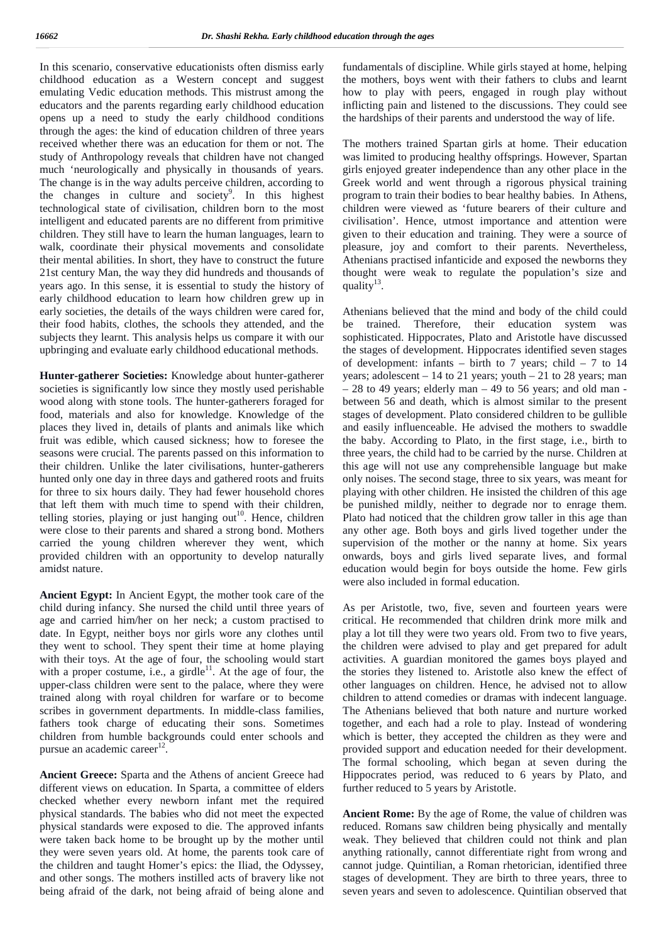In this scenario, conservative educationists often dismiss early childhood education as a Western concept and suggest emulating Vedic education methods. This mistrust among the educators and the parents regarding early childhood education opens up a need to study the early childhood conditions through the ages: the kind of education children of three years received whether there was an education for them or not. The study of Anthropology reveals that children have not changed much 'neurologically and physically in thousands of years. The change is in the way adults perceive children, according to the changes in culture and society<sup>9</sup>. In this highest p technological state of civilisation, children born to the most intelligent and educated parents are no different from primitive children. They still have to learn the human languages, learn to walk, coordinate their physical movements and consolidate their mental abilities. In short, they have to construct the future 21st century Man, the way they did hundreds and thousands of years ago. In this sense, it is essential to study the history of early childhood education to learn how children grew up in early societies, the details of the ways children were cared for, their food habits, clothes, the schools they attended, and the subjects they learnt. This analysis helps us compare it with our upbringing and evaluate early childhood educational methods.

**Hunter-gatherer Societies:** Knowledge about hunter-gatherer societies is significantly low since they mostly used perishable wood along with stone tools. The hunter-gatherers foraged for food, materials and also for knowledge. Knowledge of the places they lived in, details of plants and animals like which fruit was edible, which caused sickness; how to foresee the seasons were crucial. The parents passed on this information to their children. Unlike the later civilisations, hunter-gatherers hunted only one day in three days and gathered roots and fruits for three to six hours daily. They had fewer household chores that left them with much time to spend with their children, telling stories, playing or just hanging  $out<sup>10</sup>$ . Hence, children were close to their parents and shared a strong bond. Mothers carried the young children wherever they went, which provided children with an opportunity to develop naturally amidst nature.

**Ancient Egypt:** In Ancient Egypt, the mother took care of the child during infancy. She nursed the child until three years of age and carried him/her on her neck; a custom practised to date. In Egypt, neither boys nor girls wore any clothes until they went to school. They spent their time at home playing with their toys. At the age of four, the schooling would start with a proper costume, i.e., a girdle $^{11}$ . At the age of four, the upper-class children were sent to the palace, where they were trained along with royal children for warfare or to become scribes in government departments. In middle-class families, fathers took charge of educating their sons. Sometimes children from humble backgrounds could enter schools and pursue an academic career $12$ .

**Ancient Greece:** Sparta and the Athens of ancient Greece had different views on education. In Sparta, a committee of elders checked whether every newborn infant met the required physical standards. The babies who did not meet the expected physical standards were exposed to die. The approved infants were taken back home to be brought up by the mother until they were seven years old. At home, the parents took care of the children and taught Homer's epics: the Iliad, the Odyssey, and other songs. The mothers instilled acts of bravery like not being afraid of the dark, not being afraid of being alone and

fundamentals of discipline. While girls stayed at home, helping the mothers, boys went with their fathers to clubs and learnt how to play with peers, engaged in rough play without inflicting pain and listened to the discussions. They could see the hardships of their parents and understood the way of life.

The mothers trained Spartan girls at home. Their education was limited to producing healthy offsprings. However, Spartan girls enjoyed greater independence than any other place in the Greek world and went through a rigorous physical training program to train their bodies to bear healthy babies. In Athens, children were viewed as 'future bearers of their culture and civilisation'. Hence, utmost importance and attention were given to their education and training. They were a source of pleasure, joy and comfort to their parents. Nevertheless, Athenians practised infanticide and exposed the newborns they thought were weak to regulate the population's size and quality $^{13}$ .

Athenians believed that the mind and body of the child could be trained. Therefore, their education system was sophisticated. Hippocrates, Plato and Aristotle have discussed the stages of development. Hippocrates identified seven stages of development: infants – birth to 7 years; child – 7 to  $14$ years; adolescent  $-14$  to 21 years; youth  $-21$  to 28 years; man  $-28$  to 49 years; elderly man  $-49$  to 56 years; and old man between 56 and death, which is almost similar to the present stages of development. Plato considered children to be gullible and easily influenceable. He advised the mothers to swaddle the baby. According to Plato, in the first stage, i.e., birth to three years, the child had to be carried by the nurse. Children at this age will not use any comprehensible language but make only noises. The second stage, three to six years, was meant for playing with other children. He insisted the children of this age be punished mildly, neither to degrade nor to enrage them. Plato had noticed that the children grow taller in this age than any other age. Both boys and girls lived together under the supervision of the mother or the nanny at home. Six years onwards, boys and girls lived separate lives, and formal education would begin for boys outside the home. Few girls were also included in formal education.

As per Aristotle, two, five, seven and fourteen years were critical. He recommended that children drink more milk and play a lot till they were two years old. From two to five years, the children were advised to play and get prepared for adult activities. A guardian monitored the games boys played and the stories they listened to. Aristotle also knew the effect of other languages on children. Hence, he advised not to allow children to attend comedies or dramas with indecent language. The Athenians believed that both nature and nurture worked together, and each had a role to play. Instead of wondering which is better, they accepted the children as they were and provided support and education needed for their development. The formal schooling, which began at seven during the Hippocrates period, was reduced to 6 years by Plato, and further reduced to 5 years by Aristotle.

**Ancient Rome:** By the age of Rome, the value of children was reduced. Romans saw children being physically and mentally weak. They believed that children could not think and plan anything rationally, cannot differentiate right from wrong and cannot judge. Quintilian, a Roman rhetorician, identified three stages of development. They are birth to three years, three to seven years and seven to adolescence. Quintilian observed that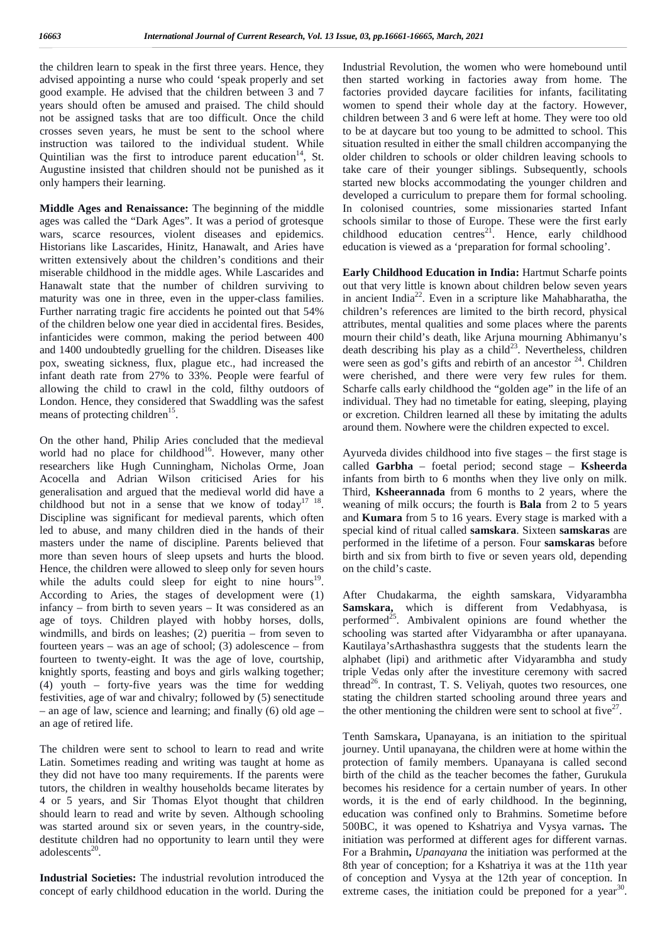the children learn to speak in the first three years. Hence, they advised appointing a nurse who could 'speak properly and set good example. He advised that the children between 3 and 7 years should often be amused and praised. The child should not be assigned tasks that are too difficult. Once the child crosses seven years, he must be sent to the school where instruction was tailored to the individual student. While Quintilian was the first to introduce parent education<sup>14</sup>, St. Augustine insisted that children should not be punished as it only hampers their learning.

**Middle Ages and Renaissance:** The beginning of the middle ages was called the "Dark Ages". It was a period of grotesque wars, scarce resources, violent diseases and epidemics. Historians like Lascarides, Hinitz, Hanawalt, and Aries have written extensively about the children's conditions and their miserable childhood in the middle ages. While Lascarides and Hanawalt state that the number of children surviving to maturity was one in three, even in the upper-class families. Further narrating tragic fire accidents he pointed out that 54% of the children below one year died in accidental fires. Besides, infanticides were common, making the period between 400 and 1400 undoubtedly gruelling for the children. Diseases like pox, sweating sickness, flux, plague etc., had increased the infant death rate from 27% to 33%. People were fearful of allowing the child to crawl in the cold, filthy outdoors of London. Hence, they considered that Swaddling was the safest means of protecting children<sup>15</sup>.

On the other hand, Philip Aries concluded that the medieval world had no place for childhood<sup>16</sup>. However, many other researchers like Hugh Cunningham, Nicholas Orme, Joan Acocella and Adrian Wilson criticised Aries for his generalisation and argued that the medieval world did have a childhood but not in a sense that we know of today<sup>17</sup> <sup>18</sup> Discipline was significant for medieval parents, which often led to abuse, and many children died in the hands of their masters under the name of discipline. Parents believed that more than seven hours of sleep upsets and hurts the blood. Hence, the children were allowed to sleep only for seven hours while the adults could sleep for eight to nine hours<sup>19</sup>. According to Aries, the stages of development were (1) infancy – from birth to seven years – It was considered as an age of toys. Children played with hobby horses, dolls, windmills, and birds on leashes; (2) pueritia – from seven to fourteen years – was an age of school; (3) adolescence – from fourteen to twenty-eight. It was the age of love, courtship, knightly sports, feasting and boys and girls walking together; (4) youth – forty-five years was the time for wedding festivities, age of war and chivalry; followed by (5) senectitude – an age of law, science and learning; and finally (6) old age – an age of retired life.

The children were sent to school to learn to read and write Latin. Sometimes reading and writing was taught at home as they did not have too many requirements. If the parents were tutors, the children in wealthy households became literates by 4 or 5 years, and Sir Thomas Elyot thought that children should learn to read and write by seven. Although schooling was started around six or seven years, in the country-side, destitute children had no opportunity to learn until they were adolescents $^{20}$ .

**Industrial Societies:** The industrial revolution introduced the concept of early childhood education in the world. During the Industrial Revolution, the women who were homebound until then started working in factories away from home. The factories provided daycare facilities for infants, facilitating women to spend their whole day at the factory. However, children between 3 and 6 were left at home. They were too old to be at daycare but too young to be admitted to school. This situation resulted in either the small children accompanying the older children to schools or older children leaving schools to take care of their younger siblings. Subsequently, schools started new blocks accommodating the younger children and developed a curriculum to prepare them for formal schooling. In colonised countries, some missionaries started Infant schools similar to those of Europe. These were the first early childhood education centres<sup>21</sup>. Hence, early childhood education is viewed as a 'preparation for formal schooling'.

**Early Childhood Education in India:** Hartmut Scharfe points out that very little is known about children below seven years in ancient India<sup>22</sup>. Even in a scripture like Mahabharatha, the children's references are limited to the birth record, physical attributes, mental qualities and some places where the parents mourn their child's death, like Arjuna mourning Abhimanyu's death describing his play as a child<sup>23</sup>. Nevertheless, children were seen as god's gifts and rebirth of an ancestor  $24$ . Children were cherished, and there were very few rules for them. Scharfe calls early childhood the "golden age" in the life of an individual. They had no timetable for eating, sleeping, playing or excretion. Children learned all these by imitating the adults around them. Nowhere were the children expected to excel.

. weaning of milk occurs; the fourth is **Bala** from 2 to 5 years Ayurveda divides childhood into five stages – the first stage is called **Garbha** – foetal period; second stage – **Ksheerda** infants from birth to 6 months when they live only on milk. Third, **Ksheerannada** from 6 months to 2 years, where the and **Kumara** from 5 to 16 years. Every stage is marked with a special kind of ritual called **samskara**. Sixteen **samskaras** are performed in the lifetime of a person. Four **samskaras** before birth and six from birth to five or seven years old, depending on the child's caste.

After Chudakarma, the eighth samskara, Vidyarambha **Samskara,** which is different from Vedabhyasa, is performed<sup>25</sup>. Ambivalent opinions are found whether the schooling was started after Vidyarambha or after upanayana. Kautilaya'sArthashasthra suggests that the students learn the alphabet (lipi) and arithmetic after Vidyarambha and study triple Vedas only after the investiture ceremony with sacred  $t$ hread<sup>26</sup>. In contrast, T. S. Veliyah, quotes two resources, one stating the children started schooling around three years and the other mentioning the children were sent to school at five $2^7$ .

Tenth Samskara**,** Upanayana, is an initiation to the spiritual journey. Until upanayana, the children were at home within the protection of family members. Upanayana is called second birth of the child as the teacher becomes the father, Gurukula becomes his residence for a certain number of years. In other words, it is the end of early childhood. In the beginning, education was confined only to Brahmins. Sometime before 500BC, it was opened to Kshatriya and Vysya varnas**.** The initiation was performed at different ages for different varnas. For a Brahmin**,** *Upanayana* the initiation was performed at the 8th year of conception; for a Kshatriya it was at the 11th year of conception and Vysya at the 12th year of conception. In extreme cases, the initiation could be preponed for a year<sup>30</sup>.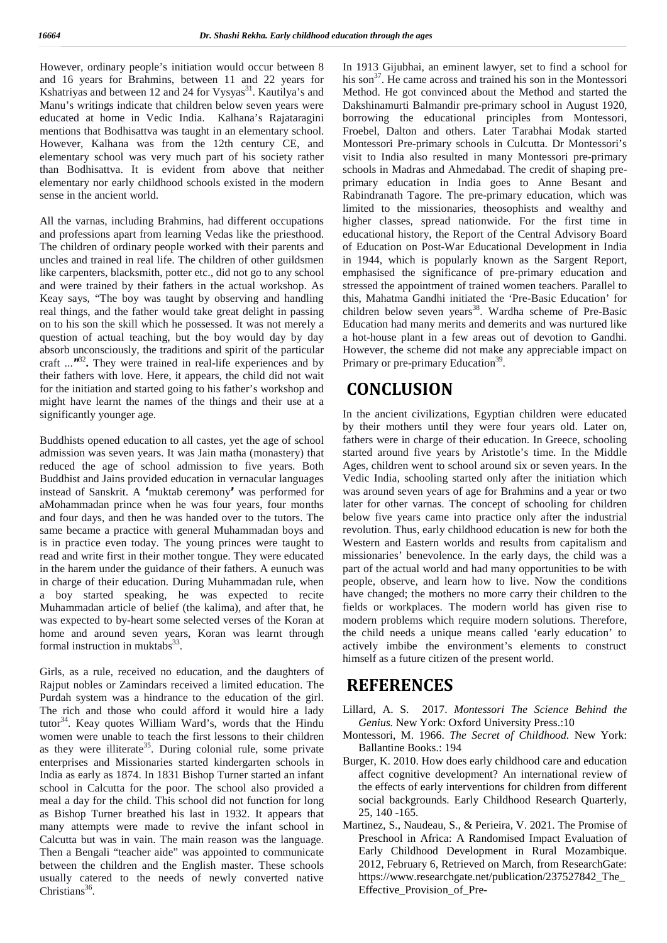However, ordinary people's initiation would occur between 8 and 16 years for Brahmins, between 11 and 22 years for Kshatriyas and between 12 and 24 for Vysyas $31$ . Kautilya's and Manu's writings indicate that children below seven years were educated at home in Vedic India. Kalhana's Rajataragini mentions that Bodhisattva was taught in an elementary school. However, Kalhana was from the 12th century CE, and elementary school was very much part of his society rather than Bodhisattva. It is evident from above that neither elementary nor early childhood schools existed in the modern sense in the ancient world.

All the varnas, including Brahmins, had different occupations and professions apart from learning Vedas like the priesthood. The children of ordinary people worked with their parents and uncles and trained in real life. The children of other guildsmen like carpenters, blacksmith, potter etc., did not go to any school and were trained by their fathers in the actual workshop. As Keay says, "The boy was taught by observing and handling real things, and the father would take great delight in passing on to his son the skill which he possessed. It was not merely a question of actual teaching, but the boy would day by day absorb unconsciously, the traditions and spirit of the particular craft ...<sup>"32</sup>. They were trained in real-life experiences and by Prim their fathers with love. Here, it appears, the child did not wait for the initiation and started going to his father's workshop and might have learnt the names of the things and their use at a significantly younger age.

Buddhists opened education to all castes, yet the age of school admission was seven years. It was Jain matha (monastery) that reduced the age of school admission to five years. Both Buddhist and Jains provided education in vernacular languages instead of Sanskrit. A **'**muktab ceremony**'** was performed for aMohammadan prince when he was four years, four months and four days, and then he was handed over to the tutors. The same became a practice with general Muhammadan boys and is in practice even today. The young princes were taught to read and write first in their mother tongue. They were educated in the harem under the guidance of their fathers. A eunuch was in charge of their education. During Muhammadan rule, when a boy started speaking, he was expected to recite Muhammadan article of belief (the kalima), and after that, he was expected to by-heart some selected verses of the Koran at home and around seven years, Koran was learnt through formal instruction in muktabs<sup>33</sup>.

Girls, as a rule, received no education, and the daughters of Rajput nobles or Zamindars received a limited education. The Purdah system was a hindrance to the education of the girl. The rich and those who could afford it would hire a lady tutor<sup>34</sup>. Keay quotes William Ward's, words that the Hindu women were unable to teach the first lessons to their children as they were illiterate<sup>35</sup>. During colonial rule, some private enterprises and Missionaries started kindergarten schools in India as early as 1874. In 1831 Bishop Turner started an infant school in Calcutta for the poor. The school also provided a meal a day for the child. This school did not function for long as Bishop Turner breathed his last in 1932. It appears that many attempts were made to revive the infant school in Calcutta but was in vain. The main reason was the language. Then a Bengali "teacher aide" was appointed to communicate between the children and the English master. These schools usually catered to the needs of newly converted native Christians $36$ .

In 1913 Gijubhai, an eminent lawyer, set to find a school for his son $^{37}$ . He came across and trained his son in the Montessori Method. He got convinced about the Method and started the Dakshinamurti Balmandir pre-primary school in August 1920, borrowing the educational principles from Montessori, Froebel, Dalton and others. Later Tarabhai Modak started Montessori Pre-primary schools in Culcutta. Dr Montessori's visit to India also resulted in many Montessori pre-primary schools in Madras and Ahmedabad. The credit of shaping pre primary education in India goes to Anne Besant and Rabindranath Tagore. The pre-primary education, which was limited to the missionaries, theosophists and wealthy and higher classes, spread nationwide. For the first time in educational history, the Report of the Central Advisory Board of Education on Post-War Educational Development in India in 1944, which is popularly known as the Sargent Report, emphasised the significance of pre-primary education and stressed the appointment of trained women teachers. Parallel to this, Mahatma Gandhi initiated the 'Pre-Basic Education' for children below seven years<sup>38</sup>. Wardha scheme of Pre-Basic Education had many merits and demerits and was nurtured like a hot-house plant in a few areas out of devotion to Gandhi. However, the scheme did not make any appreciable impact on Primary or pre-primary Education<sup>39</sup>.

# **CONCLUSION**

In the ancient civilizations, Egyptian children were educated by their mothers until they were four years old. Later on, fathers were in charge of their education. In Greece, schooling started around five years by Aristotle's time. In the Middle Ages, children went to school around six or seven years. In the Vedic India, schooling started only after the initiation which was around seven years of age for Brahmins and a year or two later for other varnas. The concept of schooling for children below five years came into practice only after the industrial revolution. Thus, early childhood education is new for both the Western and Eastern worlds and results from capitalism and missionaries' benevolence. In the early days, the child was a part of the actual world and had many opportunities to be with people, observe, and learn how to live. Now the conditions have changed; the mothers no more carry their children to the fields or workplaces. The modern world has given rise to modern problems which require modern solutions. Therefore, the child needs a unique means called 'early education' to actively imbibe the environment's elements to construct himself as a future citizen of the present world.

## **REFERENCES**

- Lillard, A. S. 2017. *Montessori The Science Behind the Genius.* New York: Oxford University Press.:10
- Montessori, M. 1966. *The Secret of Childhood.* New York: Ballantine Books.: 194
- Burger, K. 2010. How does early childhood care and education affect cognitive development? An international review of the effects of early interventions for children from different social backgrounds. Early Childhood Research Quarterly, 25, 140 -165.
- Martinez, S., Naudeau, S., & Perieira, V. 2021. The Promise of Preschool in Africa: A Randomised Impact Evaluation of Early Childhood Development in Rural Mozambique. 2012, February 6, Retrieved on March, from ResearchGate: https://www.researchgate.net/publication/237527842\_The\_ Effective\_Provision\_of\_Pre-